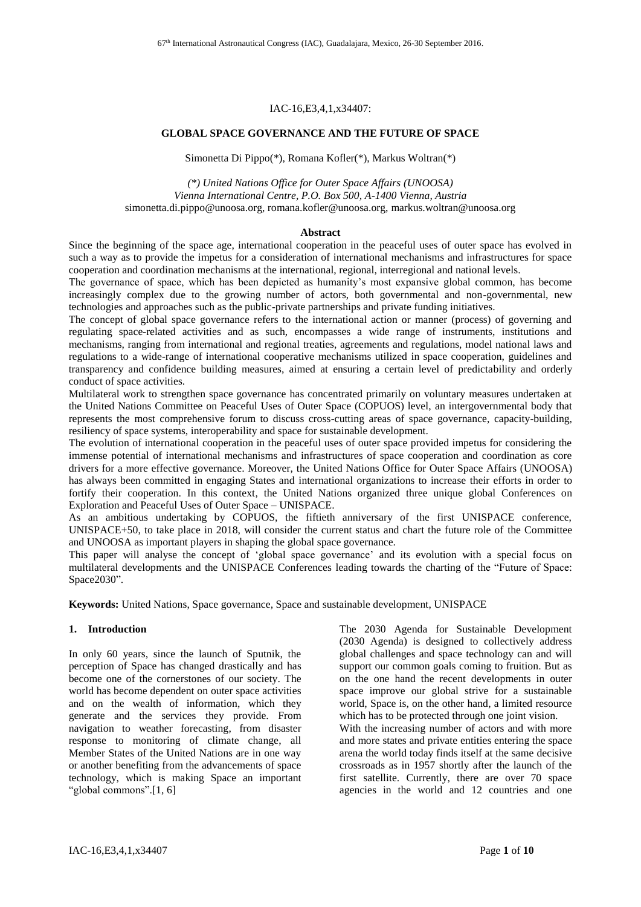#### IAC-16,E3,4,1,x34407:

#### **GLOBAL SPACE GOVERNANCE AND THE FUTURE OF SPACE**

Simonetta Di Pippo(\*), Romana Kofler(\*), Markus Woltran(\*)

*(\*) United Nations Office for Outer Space Affairs (UNOOSA) Vienna International Centre, P.O. Box 500, A-1400 Vienna, Austria* simonetta.di.pippo@unoosa.org, romana.kofler@unoosa.org, markus.woltran@unoosa.org

#### **Abstract**

Since the beginning of the space age, international cooperation in the peaceful uses of outer space has evolved in such a way as to provide the impetus for a consideration of international mechanisms and infrastructures for space cooperation and coordination mechanisms at the international, regional, interregional and national levels.

The governance of space, which has been depicted as humanity's most expansive global common, has become increasingly complex due to the growing number of actors, both governmental and non-governmental, new technologies and approaches such as the public-private partnerships and private funding initiatives.

The concept of global space governance refers to the international action or manner (process) of governing and regulating space-related activities and as such, encompasses a wide range of instruments, institutions and mechanisms, ranging from international and regional treaties, agreements and regulations, model national laws and regulations to a wide-range of international cooperative mechanisms utilized in space cooperation, guidelines and transparency and confidence building measures, aimed at ensuring a certain level of predictability and orderly conduct of space activities.

Multilateral work to strengthen space governance has concentrated primarily on voluntary measures undertaken at the United Nations Committee on Peaceful Uses of Outer Space (COPUOS) level, an intergovernmental body that represents the most comprehensive forum to discuss cross-cutting areas of space governance, capacity-building, resiliency of space systems, interoperability and space for sustainable development.

The evolution of international cooperation in the peaceful uses of outer space provided impetus for considering the immense potential of international mechanisms and infrastructures of space cooperation and coordination as core drivers for a more effective governance. Moreover, the United Nations Office for Outer Space Affairs (UNOOSA) has always been committed in engaging States and international organizations to increase their efforts in order to fortify their cooperation. In this context, the United Nations organized three unique global Conferences on Exploration and Peaceful Uses of Outer Space – UNISPACE.

As an ambitious undertaking by COPUOS, the fiftieth anniversary of the first UNISPACE conference, UNISPACE+50, to take place in 2018, will consider the current status and chart the future role of the Committee and UNOOSA as important players in shaping the global space governance.

This paper will analyse the concept of 'global space governance' and its evolution with a special focus on multilateral developments and the UNISPACE Conferences leading towards the charting of the "Future of Space: Space2030".

**Keywords:** United Nations, Space governance, Space and sustainable development, UNISPACE

# **1. Introduction**

In only 60 years, since the launch of Sputnik, the perception of Space has changed drastically and has become one of the cornerstones of our society. The world has become dependent on outer space activities and on the wealth of information, which they generate and the services they provide. From navigation to weather forecasting, from disaster response to monitoring of climate change, all Member States of the United Nations are in one way or another benefiting from the advancements of space technology, which is making Space an important "global commons".[1, 6]

The 2030 Agenda for Sustainable Development (2030 Agenda) is designed to collectively address global challenges and space technology can and will support our common goals coming to fruition. But as on the one hand the recent developments in outer space improve our global strive for a sustainable world, Space is, on the other hand, a limited resource which has to be protected through one joint vision.

With the increasing number of actors and with more and more states and private entities entering the space arena the world today finds itself at the same decisive crossroads as in 1957 shortly after the launch of the first satellite. Currently, there are over 70 space agencies in the world and 12 countries and one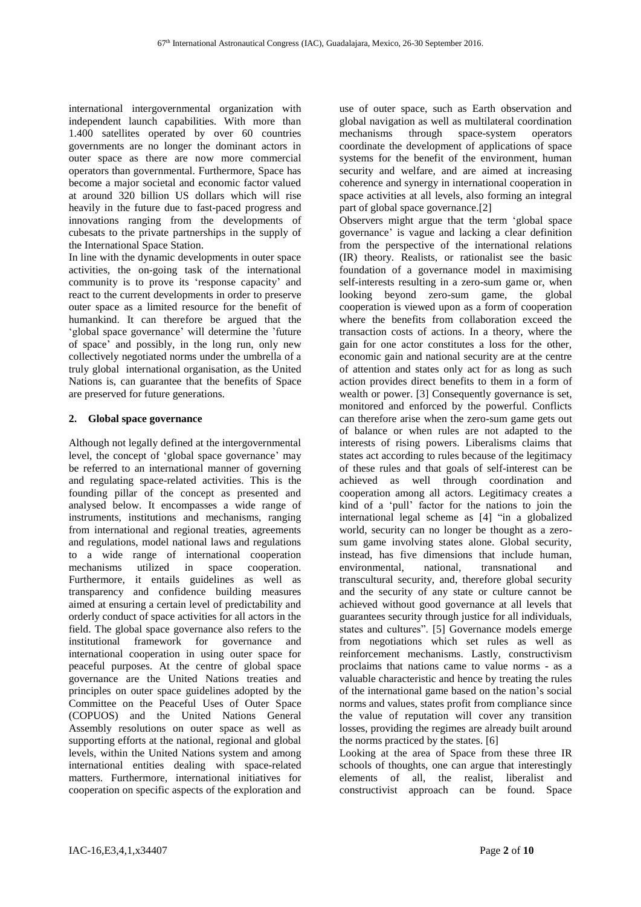international intergovernmental organization with independent launch capabilities. With more than 1.400 satellites operated by over 60 countries governments are no longer the dominant actors in outer space as there are now more commercial operators than governmental. Furthermore, Space has become a major societal and economic factor valued at around 320 billion US dollars which will rise heavily in the future due to fast-paced progress and innovations ranging from the developments of cubesats to the private partnerships in the supply of the International Space Station.

In line with the dynamic developments in outer space activities, the on-going task of the international community is to prove its 'response capacity' and react to the current developments in order to preserve outer space as a limited resource for the benefit of humankind. It can therefore be argued that the 'global space governance' will determine the 'future of space' and possibly, in the long run, only new collectively negotiated norms under the umbrella of a truly global international organisation, as the United Nations is, can guarantee that the benefits of Space are preserved for future generations.

# **2. Global space governance**

Although not legally defined at the intergovernmental level, the concept of 'global space governance' may be referred to an international manner of governing and regulating space-related activities. This is the founding pillar of the concept as presented and analysed below. It encompasses a wide range of instruments, institutions and mechanisms, ranging from international and regional treaties, agreements and regulations, model national laws and regulations to a wide range of international cooperation mechanisms utilized in space cooperation. Furthermore, it entails guidelines as well as transparency and confidence building measures aimed at ensuring a certain level of predictability and orderly conduct of space activities for all actors in the field. The global space governance also refers to the institutional framework for governance and international cooperation in using outer space for peaceful purposes. At the centre of global space governance are the United Nations treaties and principles on outer space guidelines adopted by the Committee on the Peaceful Uses of Outer Space (COPUOS) and the United Nations General Assembly resolutions on outer space as well as supporting efforts at the national, regional and global levels, within the United Nations system and among international entities dealing with space-related matters. Furthermore, international initiatives for cooperation on specific aspects of the exploration and use of outer space, such as Earth observation and global navigation as well as multilateral coordination mechanisms through space-system operators coordinate the development of applications of space systems for the benefit of the environment, human security and welfare, and are aimed at increasing coherence and synergy in international cooperation in space activities at all levels, also forming an integral part of global space governance.[2]

Observers might argue that the term 'global space governance' is vague and lacking a clear definition from the perspective of the international relations (IR) theory. Realists, or rationalist see the basic foundation of a governance model in maximising self-interests resulting in a zero-sum game or, when looking beyond zero-sum game, the global cooperation is viewed upon as a form of cooperation where the benefits from collaboration exceed the transaction costs of actions. In a theory, where the gain for one actor constitutes a loss for the other, economic gain and national security are at the centre of attention and states only act for as long as such action provides direct benefits to them in a form of wealth or power. [3] Consequently governance is set, monitored and enforced by the powerful. Conflicts can therefore arise when the zero-sum game gets out of balance or when rules are not adapted to the interests of rising powers. Liberalisms claims that states act according to rules because of the legitimacy of these rules and that goals of self-interest can be achieved as well through coordination and cooperation among all actors. Legitimacy creates a kind of a 'pull' factor for the nations to join the international legal scheme as [4] "in a globalized world, security can no longer be thought as a zerosum game involving states alone. Global security, instead, has five dimensions that include human, environmental, national, transnational and transcultural security, and, therefore global security and the security of any state or culture cannot be achieved without good governance at all levels that guarantees security through justice for all individuals, states and cultures". [5] Governance models emerge from negotiations which set rules as well as reinforcement mechanisms. Lastly, constructivism proclaims that nations came to value norms - as a valuable characteristic and hence by treating the rules of the international game based on the nation's social norms and values, states profit from compliance since the value of reputation will cover any transition losses, providing the regimes are already built around the norms practiced by the states. [6]

Looking at the area of Space from these three IR schools of thoughts, one can argue that interestingly elements of all, the realist, liberalist and constructivist approach can be found. Space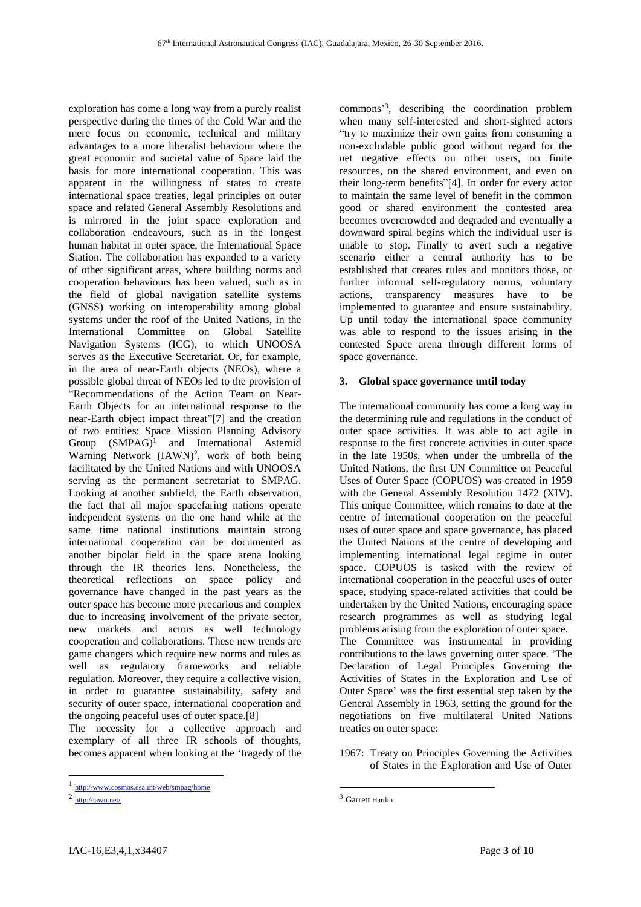exploration has come a long way from a purely realist perspective during the times of the Cold War and the mere focus on economic, technical and military advantages to a more liberalist behaviour where the great economic and societal value of Space laid the basis for more international cooperation. This was apparent in the willingness of states to create international space treaties, legal principles on outer space and related General Assembly Resolutions and is mirrored in the joint space exploration and collaboration endeavours, such as in the longest human habitat in outer space, the International Space Station. The collaboration has expanded to a variety of other significant areas, where building norms and cooperation behaviours has been valued, such as in the field of global navigation satellite systems (GNSS) working on interoperability among global systems under the roof of the United Nations, in the International Committee on Global Satellite Navigation Systems (ICG), to which UNOOSA serves as the Executive Secretariat. Or, for example, in the area of near-Earth objects (NEOs), where a possible global threat of NEOs led to the provision of "Recommendations of the Action Team on Near-Earth Objects for an international response to the near-Earth object impact threat"[7] and the creation of two entities: Space Mission Planning Advisory Group (SMPAG)<sup>1</sup> and International Asteroid Warning Network (IAWN)<sup>2</sup>, work of both being facilitated by the United Nations and with UNOOSA serving as the permanent secretariat to SMPAG. Looking at another subfield, the Earth observation, the fact that all major spacefaring nations operate independent systems on the one hand while at the same time national institutions maintain strong international cooperation can be documented as another bipolar field in the space arena looking through the IR theories lens. Nonetheless, the theoretical reflections on space policy and governance have changed in the past years as the outer space has become more precarious and complex due to increasing involvement of the private sector, new markets and actors as well technology cooperation and collaborations. These new trends are game changers which require new norms and rules as well as regulatory frameworks and reliable regulation. Moreover, they require a collective vision, in order to guarantee sustainability, safety and security of outer space, international cooperation and the ongoing peaceful uses of outer space.[8]

The necessity for a collective approach and exemplary of all three IR schools of thoughts, becomes apparent when looking at the 'tragedy of the

 $\overline{\phantom{a}}$ 

commons' 3 , describing the coordination problem when many self-interested and short-sighted actors "try to maximize their own gains from consuming a non-excludable public good without regard for the net negative effects on other users, on finite resources, on the shared environment, and even on their long-term benefits"[4]. In order for every actor to maintain the same level of benefit in the common good or shared environment the contested area becomes overcrowded and degraded and eventually a downward spiral begins which the individual user is unable to stop. Finally to avert such a negative scenario either a central authority has to be established that creates rules and monitors those, or further informal self-regulatory norms, voluntary actions, transparency measures have to be implemented to guarantee and ensure sustainability. Up until today the international space community was able to respond to the issues arising in the contested Space arena through different forms of space governance.

### **3. Global space governance until today**

The international community has come a long way in the determining rule and regulations in the conduct of outer space activities. It was able to act agile in response to the first concrete activities in outer space in the late 1950s, when under the umbrella of the United Nations, the first UN Committee on Peaceful Uses of Outer Space (COPUOS) was created in 1959 with the General Assembly Resolution 1472 (XIV). This unique Committee, which remains to date at the centre of international cooperation on the peaceful uses of outer space and space governance, has placed the United Nations at the centre of developing and implementing international legal regime in outer space. COPUOS is tasked with the review of international cooperation in the peaceful uses of outer space, studying space-related activities that could be undertaken by the United Nations, encouraging space research programmes as well as studying legal problems arising from the exploration of outer space. The Committee was instrumental in providing contributions to the laws governing outer space. 'The Declaration of Legal Principles Governing the Activities of States in the Exploration and Use of Outer Space' was the first essential step taken by the General Assembly in 1963, setting the ground for the negotiations on five multilateral United Nations treaties on outer space:

1967: Treaty on Principles Governing the Activities of States in the Exploration and Use of Outer

1

<sup>1</sup> <http://www.cosmos.esa.int/web/smpag/home>

 $^2$  <http://iawn.net/>

<sup>3</sup> Garrett Hardin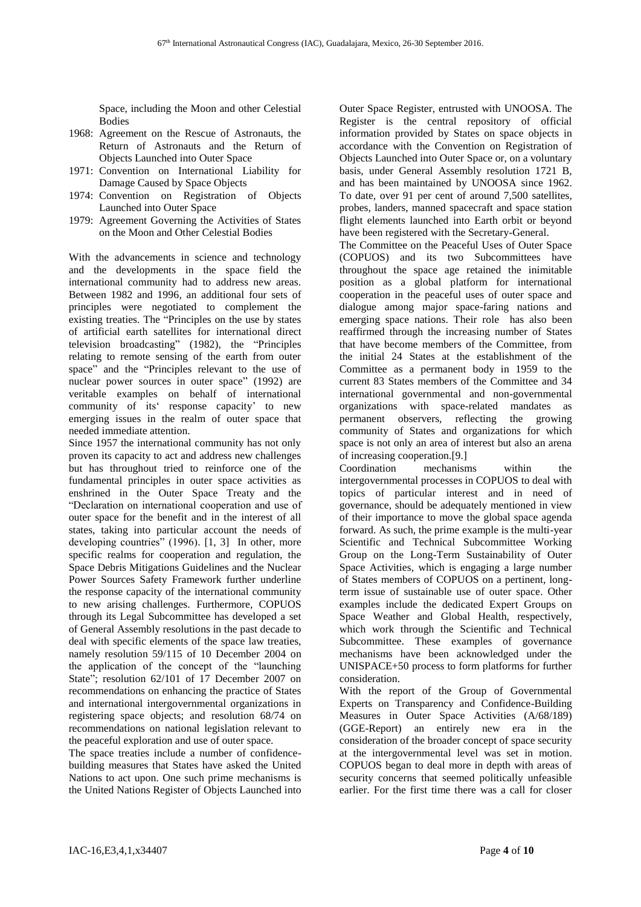Space, including the Moon and other Celestial **Bodies** 

- 1968: Agreement on the Rescue of Astronauts, the Return of Astronauts and the Return of Objects Launched into Outer Space
- 1971: Convention on International Liability for Damage Caused by Space Objects
- 1974: Convention on Registration of Objects Launched into Outer Space
- 1979: Agreement Governing the Activities of States on the Moon and Other Celestial Bodies

With the advancements in science and technology and the developments in the space field the international community had to address new areas. Between 1982 and 1996, an additional four sets of principles were negotiated to complement the existing treaties. The "Principles on the use by states of artificial earth satellites for international direct television broadcasting" (1982), the "Principles relating to remote sensing of the earth from outer space" and the "Principles relevant to the use of nuclear power sources in outer space" (1992) are veritable examples on behalf of international community of its' response capacity' to new emerging issues in the realm of outer space that needed immediate attention.

Since 1957 the international community has not only proven its capacity to act and address new challenges but has throughout tried to reinforce one of the fundamental principles in outer space activities as enshrined in the Outer Space Treaty and the "Declaration on international cooperation and use of outer space for the benefit and in the interest of all states, taking into particular account the needs of developing countries" (1996). [1, 3] In other, more specific realms for cooperation and regulation, the Space Debris Mitigations Guidelines and the Nuclear Power Sources Safety Framework further underline the response capacity of the international community to new arising challenges. Furthermore, COPUOS through its Legal Subcommittee has developed a set of General Assembly resolutions in the past decade to deal with specific elements of the space law treaties, namely resolution 59/115 of 10 December 2004 on the application of the concept of the "launching State"; resolution 62/101 of 17 December 2007 on recommendations on enhancing the practice of States and international intergovernmental organizations in registering space objects; and resolution 68/74 on recommendations on national legislation relevant to the peaceful exploration and use of outer space.

The space treaties include a number of confidencebuilding measures that States have asked the United Nations to act upon. One such prime mechanisms is the United Nations Register of Objects Launched into

Outer Space Register, entrusted with UNOOSA. The Register is the central repository of official information provided by States on space objects in accordance with the Convention on Registration of Objects Launched into Outer Space or, on a voluntary basis, under General Assembly resolution 1721 B, and has been maintained by UNOOSA since 1962. To date, over 91 per cent of around 7,500 satellites, probes, landers, manned spacecraft and space station flight elements launched into Earth orbit or beyond have been registered with the Secretary-General.

The Committee on the Peaceful Uses of Outer Space (COPUOS) and its two Subcommittees have throughout the space age retained the inimitable position as a global platform for international cooperation in the peaceful uses of outer space and dialogue among major space-faring nations and emerging space nations. Their role has also been reaffirmed through the increasing number of States that have become members of the Committee, from the initial 24 States at the establishment of the Committee as a permanent body in 1959 to the current 83 States members of the Committee and 34 international governmental and non-governmental organizations with space-related mandates as permanent observers, reflecting the growing community of States and organizations for which space is not only an area of interest but also an arena of increasing cooperation.[9.]

Coordination mechanisms within the intergovernmental processes in COPUOS to deal with topics of particular interest and in need of governance, should be adequately mentioned in view of their importance to move the global space agenda forward. As such, the prime example is the multi-year Scientific and Technical Subcommittee Working Group on the Long-Term Sustainability of Outer Space Activities, which is engaging a large number of States members of COPUOS on a pertinent, longterm issue of sustainable use of outer space. Other examples include the dedicated Expert Groups on Space Weather and Global Health, respectively, which work through the Scientific and Technical Subcommittee. These examples of governance mechanisms have been acknowledged under the UNISPACE+50 process to form platforms for further consideration.

With the report of the Group of Governmental Experts on Transparency and Confidence-Building Measures in Outer Space Activities (A/68/189) (GGE-Report) an entirely new era in the consideration of the broader concept of space security at the intergovernmental level was set in motion. COPUOS began to deal more in depth with areas of security concerns that seemed politically unfeasible earlier. For the first time there was a call for closer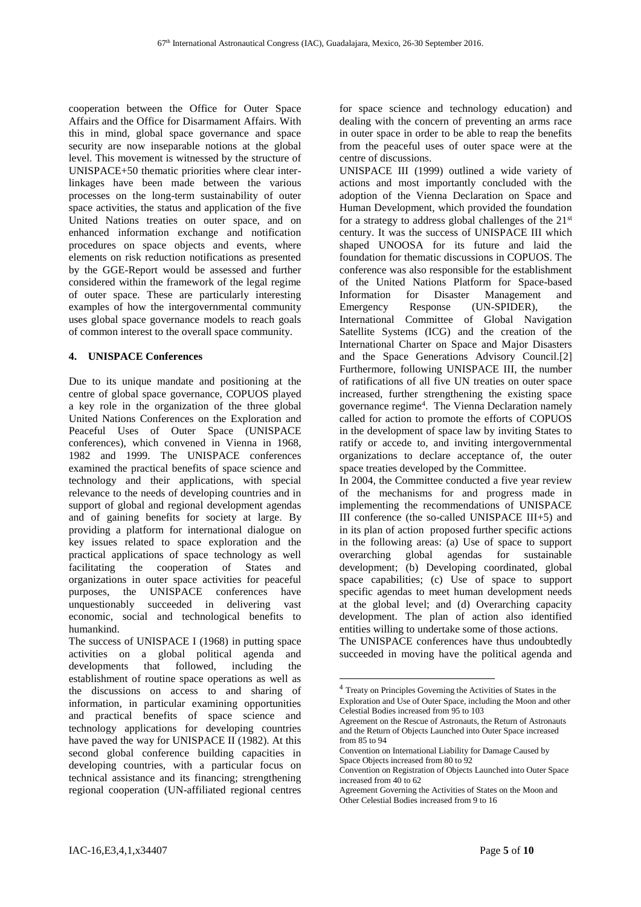cooperation between the Office for Outer Space Affairs and the Office for Disarmament Affairs. With this in mind, global space governance and space security are now inseparable notions at the global level. This movement is witnessed by the structure of UNISPACE+50 thematic priorities where clear interlinkages have been made between the various processes on the long-term sustainability of outer space activities, the status and application of the five United Nations treaties on outer space, and on enhanced information exchange and notification procedures on space objects and events, where elements on risk reduction notifications as presented by the GGE-Report would be assessed and further considered within the framework of the legal regime of outer space. These are particularly interesting examples of how the intergovernmental community uses global space governance models to reach goals of common interest to the overall space community.

# **4. UNISPACE Conferences**

Due to its unique mandate and positioning at the centre of global space governance, COPUOS played a key role in the organization of the three global United Nations Conferences on the Exploration and Peaceful Uses of Outer Space (UNISPACE conferences), which convened in Vienna in 1968, 1982 and 1999. The UNISPACE conferences examined the practical benefits of space science and technology and their applications, with special relevance to the needs of developing countries and in support of global and regional development agendas and of gaining benefits for society at large. By providing a platform for international dialogue on key issues related to space exploration and the practical applications of space technology as well facilitating the cooperation of States and organizations in outer space activities for peaceful purposes, the UNISPACE conferences have unquestionably succeeded in delivering vast economic, social and technological benefits to humankind.

The success of UNISPACE I (1968) in putting space activities on a global political agenda and developments that followed, including the establishment of routine space operations as well as the discussions on access to and sharing of information, in particular examining opportunities and practical benefits of space science and technology applications for developing countries have paved the way for UNISPACE II (1982). At this second global conference building capacities in developing countries, with a particular focus on technical assistance and its financing; strengthening regional cooperation (UN-affiliated regional centres

for space science and technology education) and dealing with the concern of preventing an arms race in outer space in order to be able to reap the benefits from the peaceful uses of outer space were at the centre of discussions.

UNISPACE III (1999) outlined a wide variety of actions and most importantly concluded with the adoption of the Vienna Declaration on Space and Human Development, which provided the foundation for a strategy to address global challenges of the  $21<sup>st</sup>$ century. It was the success of UNISPACE III which shaped UNOOSA for its future and laid the foundation for thematic discussions in COPUOS. The conference was also responsible for the establishment of the United Nations Platform for Space-based Information for Disaster Management and Emergency Response (UN-SPIDER), the International Committee of Global Navigation Satellite Systems (ICG) and the creation of the International Charter on Space and Major Disasters and the Space Generations Advisory Council.[2] Furthermore, following UNISPACE III, the number of ratifications of all five UN treaties on outer space increased, further strengthening the existing space governance regime<sup>4</sup> . The Vienna Declaration namely called for action to promote the efforts of COPUOS in the development of space law by inviting States to ratify or accede to, and inviting intergovernmental organizations to declare acceptance of, the outer space treaties developed by the Committee.

In 2004, the Committee conducted a five year review of the mechanisms for and progress made in implementing the recommendations of UNISPACE III conference (the so-called UNISPACE III+5) and in its plan of action proposed further specific actions in the following areas: (a) Use of space to support overarching global agendas for sustainable development; (b) Developing coordinated, global space capabilities; (c) Use of space to support specific agendas to meet human development needs at the global level; and (d) Overarching capacity development. The plan of action also identified entities willing to undertake some of those actions.

The UNISPACE conferences have thus undoubtedly succeeded in moving have the political agenda and

 $\overline{a}$ 

<sup>4</sup> Treaty on Principles Governing the Activities of States in the Exploration and Use of Outer Space, including the Moon and other Celestial Bodies increased from 95 to 103

Agreement on the Rescue of Astronauts, the Return of Astronauts and the Return of Objects Launched into Outer Space increased from 85 to 94

Convention on International Liability for Damage Caused by Space Objects increased from 80 to 92

Convention on Registration of Objects Launched into Outer Space increased from 40 to 62

Agreement Governing the Activities of States on the Moon and Other Celestial Bodies increased from 9 to 16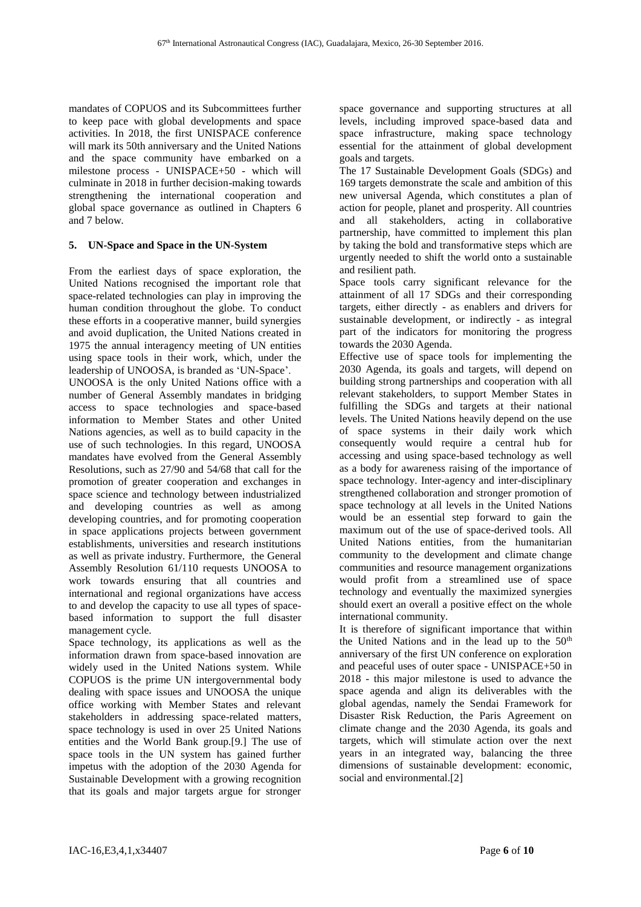mandates of COPUOS and its Subcommittees further to keep pace with global developments and space activities. In 2018, the first UNISPACE conference will mark its 50th anniversary and the United Nations and the space community have embarked on a milestone process - UNISPACE+50 - which will culminate in 2018 in further decision-making towards strengthening the international cooperation and global space governance as outlined in Chapters 6 and 7 below.

# **5. UN-Space and Space in the UN-System**

From the earliest days of space exploration, the United Nations recognised the important role that space-related technologies can play in improving the human condition throughout the globe. To conduct these efforts in a cooperative manner, build synergies and avoid duplication, the United Nations created in 1975 the annual interagency meeting of UN entities using space tools in their work, which, under the leadership of UNOOSA, is branded as 'UN-Space'.

UNOOSA is the only United Nations office with a number of General Assembly mandates in bridging access to space technologies and space-based information to Member States and other United Nations agencies, as well as to build capacity in the use of such technologies. In this regard, UNOOSA mandates have evolved from the General Assembly Resolutions, such as 27/90 and 54/68 that call for the promotion of greater cooperation and exchanges in space science and technology between industrialized and developing countries as well as among developing countries, and for promoting cooperation in space applications projects between government establishments, universities and research institutions as well as private industry. Furthermore, the General Assembly Resolution 61/110 requests UNOOSA to work towards ensuring that all countries and international and regional organizations have access to and develop the capacity to use all types of spacebased information to support the full disaster management cycle.

Space technology, its applications as well as the information drawn from space-based innovation are widely used in the United Nations system. While COPUOS is the prime UN intergovernmental body dealing with space issues and UNOOSA the unique office working with Member States and relevant stakeholders in addressing space-related matters, space technology is used in over 25 United Nations entities and the World Bank group.[9.] The use of space tools in the UN system has gained further impetus with the adoption of the 2030 Agenda for Sustainable Development with a growing recognition that its goals and major targets argue for stronger

space governance and supporting structures at all levels, including improved space-based data and space infrastructure, making space technology essential for the attainment of global development goals and targets.

The 17 Sustainable Development Goals (SDGs) and 169 targets demonstrate the scale and ambition of this new universal Agenda, which constitutes a plan of action for people, planet and prosperity. All countries and all stakeholders, acting in collaborative partnership, have committed to implement this plan by taking the bold and transformative steps which are urgently needed to shift the world onto a sustainable and resilient path.

Space tools carry significant relevance for the attainment of all 17 SDGs and their corresponding targets, either directly - as enablers and drivers for sustainable development, or indirectly - as integral part of the indicators for monitoring the progress towards the 2030 Agenda.

Effective use of space tools for implementing the 2030 Agenda, its goals and targets, will depend on building strong partnerships and cooperation with all relevant stakeholders, to support Member States in fulfilling the SDGs and targets at their national levels. The United Nations heavily depend on the use of space systems in their daily work which consequently would require a central hub for accessing and using space-based technology as well as a body for awareness raising of the importance of space technology. Inter-agency and inter-disciplinary strengthened collaboration and stronger promotion of space technology at all levels in the United Nations would be an essential step forward to gain the maximum out of the use of space-derived tools. All United Nations entities, from the humanitarian community to the development and climate change communities and resource management organizations would profit from a streamlined use of space technology and eventually the maximized synergies should exert an overall a positive effect on the whole international community.

It is therefore of significant importance that within the United Nations and in the lead up to the 50<sup>th</sup> anniversary of the first UN conference on exploration and peaceful uses of outer space - UNISPACE+50 in 2018 - this major milestone is used to advance the space agenda and align its deliverables with the global agendas, namely the Sendai Framework for Disaster Risk Reduction, the Paris Agreement on climate change and the 2030 Agenda, its goals and targets, which will stimulate action over the next years in an integrated way, balancing the three dimensions of sustainable development: economic, social and environmental.[2]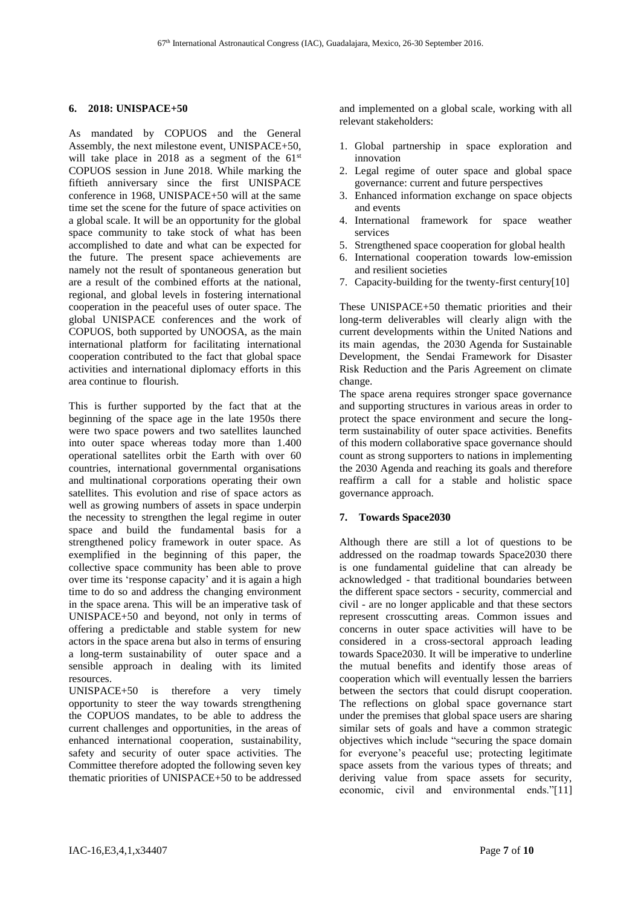### **6. 2018: UNISPACE+50**

As mandated by COPUOS and the General Assembly, the next milestone event, UNISPACE+50, will take place in 2018 as a segment of the 61<sup>st</sup> COPUOS session in June 2018. While marking the fiftieth anniversary since the first UNISPACE conference in 1968, UNISPACE+50 will at the same time set the scene for the future of space activities on a global scale. It will be an opportunity for the global space community to take stock of what has been accomplished to date and what can be expected for the future. The present space achievements are namely not the result of spontaneous generation but are a result of the combined efforts at the national, regional, and global levels in fostering international cooperation in the peaceful uses of outer space. The global UNISPACE conferences and the work of COPUOS, both supported by UNOOSA, as the main international platform for facilitating international cooperation contributed to the fact that global space activities and international diplomacy efforts in this area continue to flourish.

This is further supported by the fact that at the beginning of the space age in the late 1950s there were two space powers and two satellites launched into outer space whereas today more than 1.400 operational satellites orbit the Earth with over 60 countries, international governmental organisations and multinational corporations operating their own satellites. This evolution and rise of space actors as well as growing numbers of assets in space underpin the necessity to strengthen the legal regime in outer space and build the fundamental basis for a strengthened policy framework in outer space. As exemplified in the beginning of this paper, the collective space community has been able to prove over time its 'response capacity' and it is again a high time to do so and address the changing environment in the space arena. This will be an imperative task of UNISPACE+50 and beyond, not only in terms of offering a predictable and stable system for new actors in the space arena but also in terms of ensuring a long-term sustainability of outer space and a sensible approach in dealing with its limited resources.

UNISPACE+50 is therefore a very timely opportunity to steer the way towards strengthening the COPUOS mandates, to be able to address the current challenges and opportunities, in the areas of enhanced international cooperation, sustainability, safety and security of outer space activities. The Committee therefore adopted the following seven key thematic priorities of UNISPACE+50 to be addressed and implemented on a global scale, working with all relevant stakeholders:

- 1. Global partnership in space exploration and innovation
- 2. Legal regime of outer space and global space governance: current and future perspectives
- 3. Enhanced information exchange on space objects and events
- 4. International framework for space weather services
- 5. Strengthened space cooperation for global health
- 6. International cooperation towards low-emission and resilient societies
- 7. Capacity-building for the twenty-first century[10]

These UNISPACE+50 thematic priorities and their long-term deliverables will clearly align with the current developments within the United Nations and its main agendas, the 2030 Agenda for Sustainable Development, the Sendai Framework for Disaster Risk Reduction and the Paris Agreement on climate change.

The space arena requires stronger space governance and supporting structures in various areas in order to protect the space environment and secure the longterm sustainability of outer space activities. Benefits of this modern collaborative space governance should count as strong supporters to nations in implementing the 2030 Agenda and reaching its goals and therefore reaffirm a call for a stable and holistic space governance approach.

### **7. Towards Space2030**

Although there are still a lot of questions to be addressed on the roadmap towards Space2030 there is one fundamental guideline that can already be acknowledged - that traditional boundaries between the different space sectors - security, commercial and civil - are no longer applicable and that these sectors represent crosscutting areas. Common issues and concerns in outer space activities will have to be considered in a cross-sectoral approach leading towards Space2030. It will be imperative to underline the mutual benefits and identify those areas of cooperation which will eventually lessen the barriers between the sectors that could disrupt cooperation. The reflections on global space governance start under the premises that global space users are sharing similar sets of goals and have a common strategic objectives which include "securing the space domain for everyone's peaceful use; protecting legitimate space assets from the various types of threats; and deriving value from space assets for security, economic, civil and environmental ends."[11]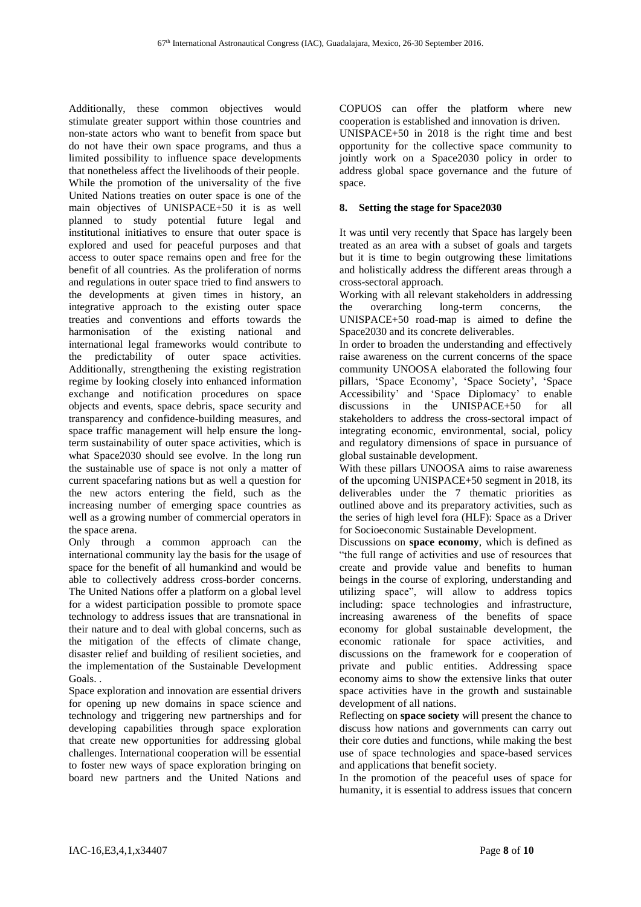Additionally, these common objectives would stimulate greater support within those countries and non-state actors who want to benefit from space but do not have their own space programs, and thus a limited possibility to influence space developments that nonetheless affect the livelihoods of their people. While the promotion of the universality of the five United Nations treaties on outer space is one of the main objectives of UNISPACE+50 it is as well planned to study potential future legal and institutional initiatives to ensure that outer space is explored and used for peaceful purposes and that access to outer space remains open and free for the benefit of all countries. As the proliferation of norms and regulations in outer space tried to find answers to the developments at given times in history, an integrative approach to the existing outer space treaties and conventions and efforts towards the harmonisation of the existing national and international legal frameworks would contribute to the predictability of outer space activities. Additionally, strengthening the existing registration regime by looking closely into enhanced information exchange and notification procedures on space objects and events, space debris, space security and transparency and confidence-building measures, and space traffic management will help ensure the longterm sustainability of outer space activities, which is what Space2030 should see evolve. In the long run the sustainable use of space is not only a matter of current spacefaring nations but as well a question for the new actors entering the field, such as the increasing number of emerging space countries as well as a growing number of commercial operators in the space arena.

Only through a common approach can the international community lay the basis for the usage of space for the benefit of all humankind and would be able to collectively address cross-border concerns. The United Nations offer a platform on a global level for a widest participation possible to promote space technology to address issues that are transnational in their nature and to deal with global concerns, such as the mitigation of the effects of climate change, disaster relief and building of resilient societies, and the implementation of the Sustainable Development Goals. .

Space exploration and innovation are essential drivers for opening up new domains in space science and technology and triggering new partnerships and for developing capabilities through space exploration that create new opportunities for addressing global challenges. International cooperation will be essential to foster new ways of space exploration bringing on board new partners and the United Nations and

COPUOS can offer the platform where new cooperation is established and innovation is driven. UNISPACE+50 in 2018 is the right time and best opportunity for the collective space community to jointly work on a Space2030 policy in order to address global space governance and the future of space.

# **8. Setting the stage for Space2030**

It was until very recently that Space has largely been treated as an area with a subset of goals and targets but it is time to begin outgrowing these limitations and holistically address the different areas through a cross-sectoral approach.

Working with all relevant stakeholders in addressing the overarching long-term concerns, the UNISPACE+50 road-map is aimed to define the Space2030 and its concrete deliverables.

In order to broaden the understanding and effectively raise awareness on the current concerns of the space community UNOOSA elaborated the following four pillars, 'Space Economy', 'Space Society', 'Space Accessibility' and 'Space Diplomacy' to enable discussions in the UNISPACE+50 for all stakeholders to address the cross-sectoral impact of integrating economic, environmental, social, policy and regulatory dimensions of space in pursuance of global sustainable development.

With these pillars UNOOSA aims to raise awareness of the upcoming UNISPACE+50 segment in 2018, its deliverables under the 7 thematic priorities as outlined above and its preparatory activities, such as the series of high level fora (HLF): Space as a Driver for Socioeconomic Sustainable Development.

Discussions on **space economy**, which is defined as "the full range of activities and use of resources that create and provide value and benefits to human beings in the course of exploring, understanding and utilizing space", will allow to address topics including: space technologies and infrastructure, increasing awareness of the benefits of space economy for global sustainable development, the economic rationale for space activities, and discussions on the framework for e cooperation of private and public entities. Addressing space economy aims to show the extensive links that outer space activities have in the growth and sustainable development of all nations.

Reflecting on **space society** will present the chance to discuss how nations and governments can carry out their core duties and functions, while making the best use of space technologies and space-based services and applications that benefit society.

In the promotion of the peaceful uses of space for humanity, it is essential to address issues that concern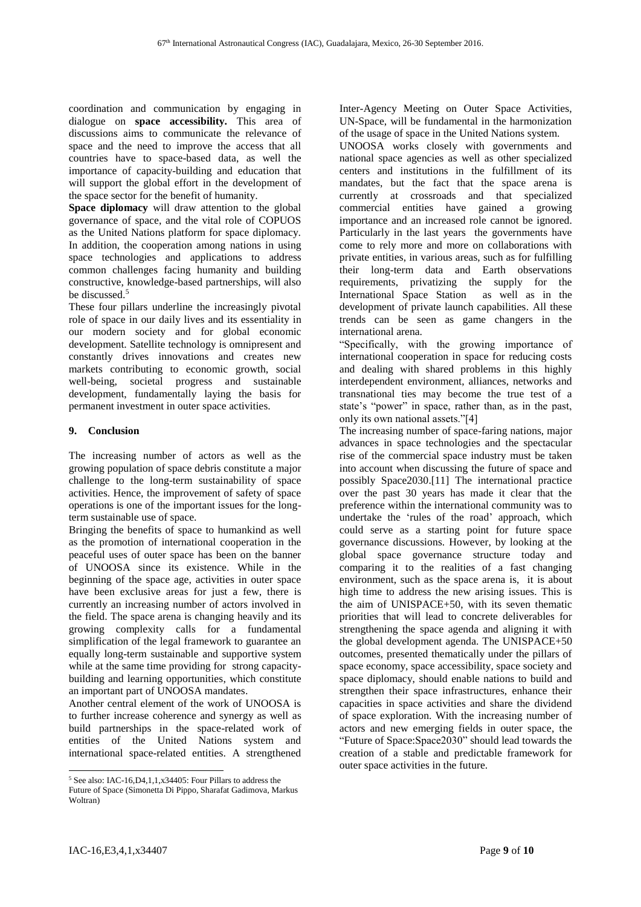coordination and communication by engaging in dialogue on **space accessibility.** This area of discussions aims to communicate the relevance of space and the need to improve the access that all countries have to space-based data, as well the importance of capacity-building and education that will support the global effort in the development of the space sector for the benefit of humanity.

**Space diplomacy** will draw attention to the global governance of space, and the vital role of COPUOS as the United Nations platform for space diplomacy. In addition, the cooperation among nations in using space technologies and applications to address common challenges facing humanity and building constructive, knowledge-based partnerships, will also be discussed.<sup>5</sup>

These four pillars underline the increasingly pivotal role of space in our daily lives and its essentiality in our modern society and for global economic development. Satellite technology is omnipresent and constantly drives innovations and creates new markets contributing to economic growth, social well-being, societal progress and sustainable development, fundamentally laying the basis for permanent investment in outer space activities.

# **9. Conclusion**

The increasing number of actors as well as the growing population of space debris constitute a major challenge to the long-term sustainability of space activities. Hence, the improvement of safety of space operations is one of the important issues for the longterm sustainable use of space.

Bringing the benefits of space to humankind as well as the promotion of international cooperation in the peaceful uses of outer space has been on the banner of UNOOSA since its existence. While in the beginning of the space age, activities in outer space have been exclusive areas for just a few, there is currently an increasing number of actors involved in the field. The space arena is changing heavily and its growing complexity calls for a fundamental simplification of the legal framework to guarantee an equally long-term sustainable and supportive system while at the same time providing for strong capacitybuilding and learning opportunities, which constitute an important part of UNOOSA mandates.

Another central element of the work of UNOOSA is to further increase coherence and synergy as well as build partnerships in the space-related work of entities of the United Nations system and international space-related entities. A strengthened

Inter-Agency Meeting on Outer Space Activities, UN-Space, will be fundamental in the harmonization of the usage of space in the United Nations system.

UNOOSA works closely with governments and national space agencies as well as other specialized centers and institutions in the fulfillment of its mandates, but the fact that the space arena is currently at crossroads and that specialized commercial entities have gained a growing importance and an increased role cannot be ignored. Particularly in the last years the governments have come to rely more and more on collaborations with private entities, in various areas, such as for fulfilling their long-term data and Earth observations requirements, privatizing the supply for the International Space Station as well as in the development of private launch capabilities. All these trends can be seen as game changers in the international arena.

"Specifically, with the growing importance of international cooperation in space for reducing costs and dealing with shared problems in this highly interdependent environment, alliances, networks and transnational ties may become the true test of a state's "power" in space, rather than, as in the past, only its own national assets."[4]

The increasing number of space-faring nations, major advances in space technologies and the spectacular rise of the commercial space industry must be taken into account when discussing the future of space and possibly Space2030.[11] The international practice over the past 30 years has made it clear that the preference within the international community was to undertake the 'rules of the road' approach, which could serve as a starting point for future space governance discussions. However, by looking at the global space governance structure today and comparing it to the realities of a fast changing environment, such as the space arena is, it is about high time to address the new arising issues. This is the aim of UNISPACE+50, with its seven thematic priorities that will lead to concrete deliverables for strengthening the space agenda and aligning it with the global development agenda. The UNISPACE+50 outcomes, presented thematically under the pillars of space economy, space accessibility, space society and space diplomacy, should enable nations to build and strengthen their space infrastructures, enhance their capacities in space activities and share the dividend of space exploration. With the increasing number of actors and new emerging fields in outer space, the "Future of Space:Space2030" should lead towards the creation of a stable and predictable framework for outer space activities in the future.

l <sup>5</sup> See also: IAC-16,D4,1,1,x34405: Four Pillars to address the

Future of Space (Simonetta Di Pippo, Sharafat Gadimova, Markus Woltran)